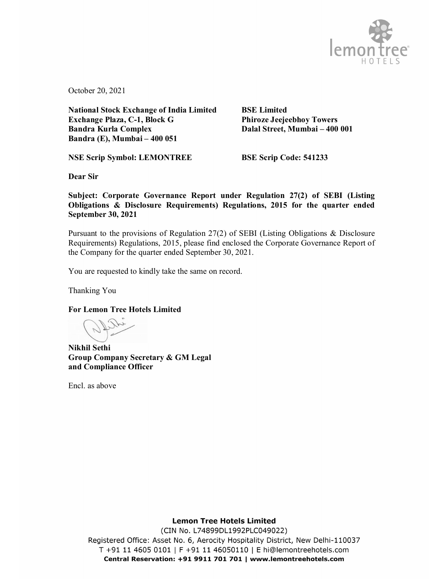

October 20, 2021

**National Stock Exchange of India Limited BSE Limited Exchange Plaza, C-1, Block G Phiroze Jeejeebhoy Towers Bandra (E), Mumbai – 400 051**

**Dalal Street, Mumbai – 400 001** 

**NSE Scrip Symbol: LEMONTREE BSE Scrip Code: 541233**

**Dear Sir**

**Subject: Corporate Governance Report under Regulation 27(2) of SEBI (Listing Obligations & Disclosure Requirements) Regulations, 2015 for the quarter ended September 30, 2021**

Pursuant to the provisions of Regulation 27(2) of SEBI (Listing Obligations & Disclosure Requirements) Regulations, 2015, please find enclosed the Corporate Governance Report of the Company for the quarter ended September 30, 2021.

You are requested to kindly take the same on record.

Thanking You

**For Lemon Tree Hotels Limited**

**Nikhil Sethi Group Company Secretary & GM Legal and Compliance Officer**

Encl. as above

#### **Lemon Tree Hotels Limited**

(CIN No. L74899DL1992PLC049022) Registered Office: Asset No. 6, Aerocity Hospitality District, New Delhi-110037 T +91 11 4605 0101 | F +91 11 46050110 | E hi@lemontreehotels.com Central Reservation: +91 9911 701 701 | www.lemontreehotels.com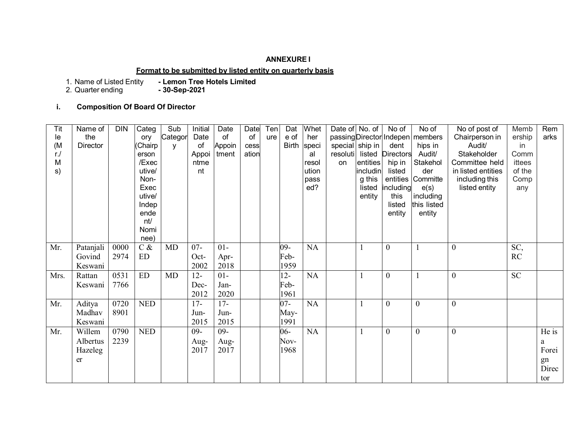## **ANNEXURE I**

#### **Format to be submitted by listed entity on quarterly basis**

1. Name of Listed Entity<br>2. Quarter ending

- Lemon Tree Hotels Limited<br>- **30-Sep-2021** 

## **i. Composition Of Board Of Director**

| Tit               | Name of   | <b>DIN</b> | Categ      | Sub     | Initial | Date   | Date  | Ten | Dat          | Whet  | Date of No. of  |          | No of                    | No of             | No of post of      | Memb   | Rem   |
|-------------------|-----------|------------|------------|---------|---------|--------|-------|-----|--------------|-------|-----------------|----------|--------------------------|-------------------|--------------------|--------|-------|
| le                | the       |            | ory        | Categor | Date    | of     | of    | ure | e of         | her   |                 |          | passing Director Indepen | members           | Chairperson in     | ership | arks  |
| (M <sup>o</sup> ) | Director  |            | (Chairp    | y       | of      | Appoin | cess  |     | <b>Birth</b> | speci | special ship in |          | dent                     | hips in           | Audit/             | in     |       |
| r./               |           |            | erson      |         | Appoi   | tment  | ation |     |              | al    | resoluti        | listed   | <b>Directors</b>         | Audit/            | Stakeholder        | Comm   |       |
| M                 |           |            | /Exec      |         | ntme    |        |       |     |              | resol | on              | entities | hip in                   | Stakehol          | Committee held     | ittees |       |
| s)                |           |            | utive/     |         | nt      |        |       |     |              | ution |                 | includin | listed                   | der               | in listed entities | of the |       |
|                   |           |            | Non-       |         |         |        |       |     |              | pass  |                 | g this   |                          | entities Committe | including this     | Comp   |       |
|                   |           |            | Exec       |         |         |        |       |     |              | ed?   |                 | listed   | including                | e(s)              | listed entity      | any    |       |
|                   |           |            | utive/     |         |         |        |       |     |              |       |                 | entity   | this                     | including         |                    |        |       |
|                   |           |            | Indep      |         |         |        |       |     |              |       |                 |          | listed                   | this listed       |                    |        |       |
|                   |           |            | ende       |         |         |        |       |     |              |       |                 |          | entity                   | entity            |                    |        |       |
|                   |           |            | nt/        |         |         |        |       |     |              |       |                 |          |                          |                   |                    |        |       |
|                   |           |            | Nomi       |         |         |        |       |     |              |       |                 |          |                          |                   |                    |        |       |
|                   |           |            | nee)       |         |         |        |       |     |              |       |                 |          |                          |                   |                    |        |       |
| Mr.               | Patanjali | 0000       | $C$ &      | MD      | $07 -$  | $01-$  |       |     | 09-          | NA    |                 |          | $\boldsymbol{0}$         | $\mathbf{1}$      | $\boldsymbol{0}$   | SC,    |       |
|                   | Govind    | 2974       | <b>ED</b>  |         | Oct-    | Apr-   |       |     | Feb-         |       |                 |          |                          |                   |                    | RC     |       |
|                   | Keswani   |            |            |         | 2002    | 2018   |       |     | 1959         |       |                 |          |                          |                   |                    |        |       |
| Mrs.              | Rattan    | 0531       | ED         | MD      | $12 -$  | $01 -$ |       |     | $12 -$       | NA    |                 | 1        | $\overline{0}$           |                   | $\mathbf{0}$       | SC     |       |
|                   | Keswani   | 7766       |            |         | Dec-    | Jan-   |       |     | Feb-         |       |                 |          |                          |                   |                    |        |       |
|                   |           |            |            |         | 2012    | 2020   |       |     | 1961         |       |                 |          |                          |                   |                    |        |       |
| Mr.               | Aditya    | 0720       | <b>NED</b> |         | $17 -$  | $17-$  |       |     | $07 -$       | NA    |                 |          | $\overline{0}$           | $\mathbf{0}$      | $\mathbf{0}$       |        |       |
|                   | Madhav    | 8901       |            |         | Jun-    | Jun-   |       |     | May-         |       |                 |          |                          |                   |                    |        |       |
|                   | Keswani   |            |            |         | 2015    | 2015   |       |     | 1991         |       |                 |          |                          |                   |                    |        |       |
| Mr.               | Willem    | 0790       | <b>NED</b> |         | $09 -$  | $09 -$ |       |     | $06 -$       | NA    |                 |          | $\overline{0}$           | $\boldsymbol{0}$  | $\boldsymbol{0}$   |        | He is |
|                   | Albertus  | 2239       |            |         | Aug-    | Aug-   |       |     | Nov-         |       |                 |          |                          |                   |                    |        | a     |
|                   | Hazeleg   |            |            |         | 2017    | 2017   |       |     | 1968         |       |                 |          |                          |                   |                    |        | Forei |
|                   | er        |            |            |         |         |        |       |     |              |       |                 |          |                          |                   |                    |        | gn    |
|                   |           |            |            |         |         |        |       |     |              |       |                 |          |                          |                   |                    |        | Direc |
|                   |           |            |            |         |         |        |       |     |              |       |                 |          |                          |                   |                    |        | tor   |
|                   |           |            |            |         |         |        |       |     |              |       |                 |          |                          |                   |                    |        |       |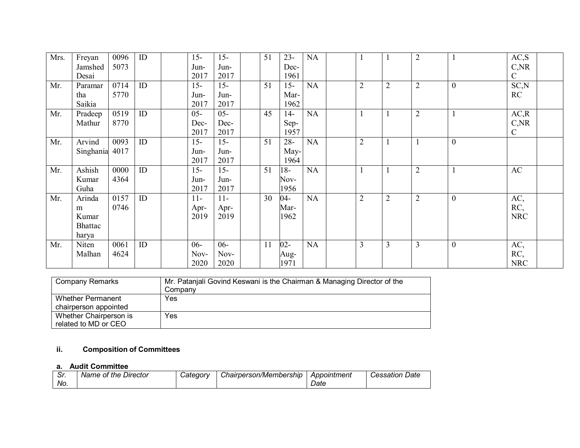| Mrs. | Freyan         | 0096 | ID | $15 -$ | $15 -$ | 51 | $23 -$ | <b>NA</b> |                |                | $\overline{2}$ |                  | AC, S           |
|------|----------------|------|----|--------|--------|----|--------|-----------|----------------|----------------|----------------|------------------|-----------------|
|      | Jamshed        | 5073 |    | Jun-   | Jun-   |    | Dec-   |           |                |                |                |                  | C, NR           |
|      | Desai          |      |    | 2017   | 2017   |    | 1961   |           |                |                |                |                  | $\mathcal{C}$   |
| Mr.  | Paramar        | 0714 | ID | $15-$  | $15-$  | 51 | $15-$  | NA        | $\overline{2}$ | $\overline{2}$ | $\overline{2}$ | $\boldsymbol{0}$ | SC <sub>N</sub> |
|      | tha            | 5770 |    | Jun-   | Jun-   |    | Mar-   |           |                |                |                |                  | RC              |
|      | Saikia         |      |    | 2017   | 2017   |    | 1962   |           |                |                |                |                  |                 |
| Mr.  | Pradeep        | 0519 | ID | $05 -$ | $05 -$ | 45 | $14-$  | NA        |                |                | $\overline{2}$ |                  | AC, R           |
|      | Mathur         | 8770 |    | Dec-   | Dec-   |    | Sep-   |           |                |                |                |                  | C, NR           |
|      |                |      |    | 2017   | 2017   |    | 1957   |           |                |                |                |                  | $\mathcal{C}$   |
| Mr.  | Arvind         | 0093 | ID | $15 -$ | $15 -$ | 51 | $28 -$ | NA        | $\overline{2}$ |                |                | 0                |                 |
|      | Singhania      | 4017 |    | Jun-   | Jun-   |    | May-   |           |                |                |                |                  |                 |
|      |                |      |    | 2017   | 2017   |    | 1964   |           |                |                |                |                  |                 |
| Mr.  | Ashish         | 0000 | ID | $15 -$ | $15 -$ | 51 | $18-$  | NA        |                |                | $\overline{2}$ |                  | AC              |
|      | Kumar          | 4364 |    | Jun-   | Jun-   |    | Nov-   |           |                |                |                |                  |                 |
|      | Guha           |      |    | 2017   | 2017   |    | 1956   |           |                |                |                |                  |                 |
| Mr.  | Arinda         | 0157 | ID | $11 -$ | $11 -$ | 30 | $04 -$ | NA        | $\overline{2}$ | $\overline{2}$ | $\overline{2}$ | 0                | AC,             |
|      | m              | 0746 |    | Apr-   | Apr-   |    | Mar-   |           |                |                |                |                  | RC,             |
|      | Kumar          |      |    | 2019   | 2019   |    | 1962   |           |                |                |                |                  | <b>NRC</b>      |
|      | <b>Bhattac</b> |      |    |        |        |    |        |           |                |                |                |                  |                 |
|      | harya          |      |    |        |        |    |        |           |                |                |                |                  |                 |
| Mr.  | Niten          | 0061 | ID | $06 -$ | $06 -$ | 11 | $02 -$ | NA        | 3              | 3              | $\overline{3}$ | $\boldsymbol{0}$ | AC,             |
|      | Malhan         | 4624 |    | Nov-   | Nov-   |    | Aug-   |           |                |                |                |                  | RC,             |
|      |                |      |    | 2020   | 2020   |    | 1971   |           |                |                |                |                  | <b>NRC</b>      |

| <b>Company Remarks</b>                            | Mr. Patanjali Govind Keswani is the Chairman & Managing Director of the<br>Company |
|---------------------------------------------------|------------------------------------------------------------------------------------|
| <b>Whether Permanent</b><br>chairperson appointed | Yes                                                                                |
| Whether Chairperson is<br>related to MD or CEO    | Yes                                                                                |

# **ii. Composition of Committees**

## **a. Audit Committee**

| . ات | Name of the Director | Category | Chairperson/Membership | Appointment | <b>Cessation Date</b> |
|------|----------------------|----------|------------------------|-------------|-----------------------|
| No.  |                      |          |                        | Date        |                       |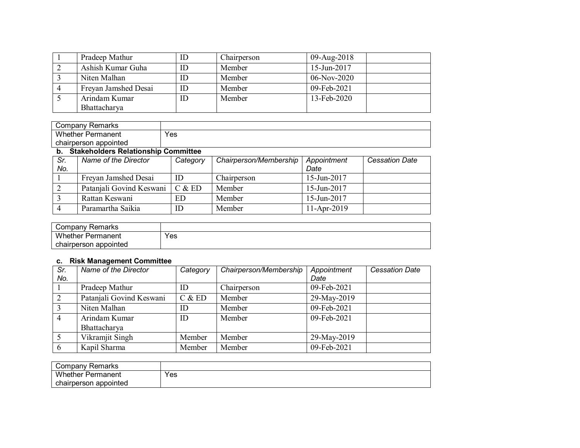| Pradeep Mathur       | ID | Chairperson | 09-Aug-2018   |
|----------------------|----|-------------|---------------|
| Ashish Kumar Guha    | ID | Member      | 15-Jun-2017   |
| Niten Malhan         | ID | Member      | $06-Nov-2020$ |
| Freyan Jamshed Desai | ID | Member      | 09-Feb-2021   |
| Arindam Kumar        | ID | Member      | 13-Feb-2020   |
| <b>Bhattacharya</b>  |    |             |               |

|                | <b>Company Remarks</b>                     |          |                        |               |                       |
|----------------|--------------------------------------------|----------|------------------------|---------------|-----------------------|
|                | <b>Whether Permanent</b>                   | Yes      |                        |               |                       |
|                | chairperson appointed                      |          |                        |               |                       |
| b.             | <b>Stakeholders Relationship Committee</b> |          |                        |               |                       |
| Sr.            | Name of the Director                       | Category | Chairperson/Membership | Appointment   | <b>Cessation Date</b> |
| No.            |                                            |          |                        | Date          |                       |
|                | Freyan Jamshed Desai                       | ID       | Chairperson            | 15-Jun-2017   |                       |
| $\overline{2}$ | Patanjali Govind Keswani                   | C & E D  | Member                 | 15-Jun-2017   |                       |
| 3              | Rattan Keswani                             | ED.      | Member                 | 15-Jun-2017   |                       |
| $\overline{4}$ | Paramartha Saikia                          | ID       | Member                 | $11-Apr-2019$ |                       |

| Company<br>Remarks       |     |
|--------------------------|-----|
| <b>Whether Permanent</b> | Yes |
| chairperson appointed    |     |

#### **c. Risk Management Committee**

| Sr.            | Name of the Director     | Category | Chairperson/Membership | Appointment | <b>Cessation Date</b> |
|----------------|--------------------------|----------|------------------------|-------------|-----------------------|
| No.            |                          |          |                        | Date        |                       |
|                | Pradeep Mathur           | ID       | Chairperson            | 09-Feb-2021 |                       |
|                | Patanjali Govind Keswani | C & E D  | Member                 | 29-May-2019 |                       |
|                | Niten Malhan             | ID       | Member                 | 09-Feb-2021 |                       |
| $\overline{4}$ | Arindam Kumar            | ID       | Member                 | 09-Feb-2021 |                       |
|                | Bhattacharya             |          |                        |             |                       |
| 5              | Vikramjit Singh          | Member   | Member                 | 29-May-2019 |                       |
|                | Kapil Sharma             | Member   | Member                 | 09-Feb-2021 |                       |

| Company Remarks            |     |
|----------------------------|-----|
| <b>Whether Permanent</b>   | Yes |
| i appointed<br>chairperson |     |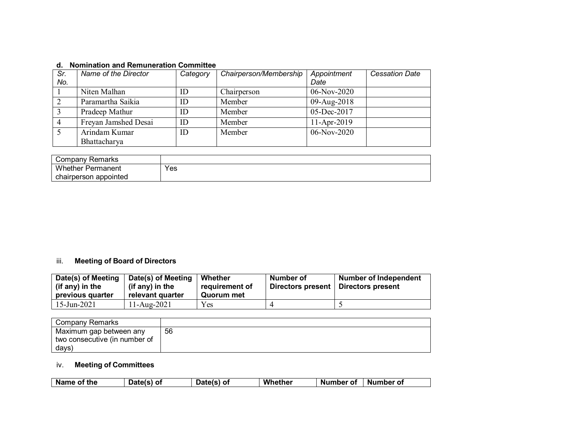| Sr.<br>No. | Name of the Director | Category | Chairperson/Membership | Appointment<br>Date | <b>Cessation Date</b> |
|------------|----------------------|----------|------------------------|---------------------|-----------------------|
|            | Niten Malhan         | ID       | Chairperson            | 06-Nov-2020         |                       |
|            | Paramartha Saikia    | ID       | Member                 | 09-Aug-2018         |                       |
|            | Pradeep Mathur       | ID       | Member                 | 05-Dec-2017         |                       |
|            | Freyan Jamshed Desai | ID       | Member                 | $11-Apr-2019$       |                       |
|            | Arindam Kumar        | ID       | Member                 | 06-Nov-2020         |                       |
|            | Bhattacharya         |          |                        |                     |                       |

### **d. Nomination and Remuneration Committee**

| Company Remarks          |     |
|--------------------------|-----|
| <b>Whether Permanent</b> | Yes |
| chairperson appointed    |     |

## iii. **Meeting of Board of Directors**

| Date(s) of Meeting<br>(if any) in the<br>previous quarter | Date(s) of Meeting<br>(if any) in the<br>relevant quarter | Whether<br>requirement of<br>Quorum met | Number of<br>Directors present   Directors present | Number of Independent |
|-----------------------------------------------------------|-----------------------------------------------------------|-----------------------------------------|----------------------------------------------------|-----------------------|
| $15$ -Jun-2021                                            | 11-Aug-2021                                               | Yes                                     |                                                    |                       |

| Company Remarks               |    |
|-------------------------------|----|
| Maximum gap between any       | 56 |
| two consecutive (in number of |    |
| days)                         |    |

## iv. **Meeting of Committees**

| `the<br>Nan<br>me ot | Date(s<br>וח ו | O1<br>AIS' | Whether | Number of | Number of |
|----------------------|----------------|------------|---------|-----------|-----------|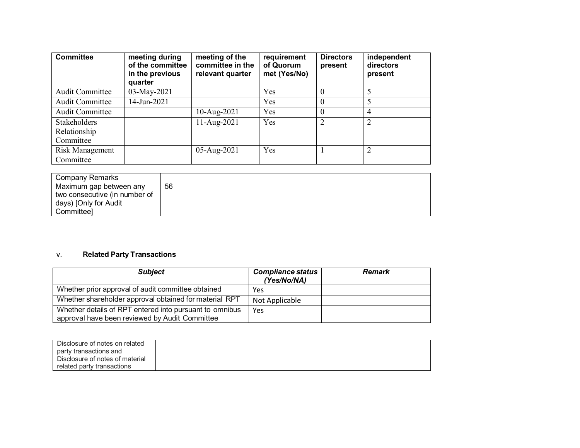| <b>Committee</b>       | meeting during<br>of the committee<br>in the previous<br>quarter | meeting of the<br>committee in the<br>relevant quarter | requirement<br>of Quorum<br>met (Yes/No) | <b>Directors</b><br>present | independent<br>directors<br>present |
|------------------------|------------------------------------------------------------------|--------------------------------------------------------|------------------------------------------|-----------------------------|-------------------------------------|
| <b>Audit Committee</b> | 03-May-2021                                                      |                                                        | Yes                                      |                             |                                     |
| <b>Audit Committee</b> | 14-Jun-2021                                                      |                                                        | Yes                                      |                             | 5                                   |
| <b>Audit Committee</b> |                                                                  | 10-Aug-2021                                            | Yes                                      |                             | $\overline{4}$                      |
| <b>Stakeholders</b>    |                                                                  | 11-Aug-2021                                            | Yes                                      | $\overline{2}$              | $\overline{2}$                      |
| Relationship           |                                                                  |                                                        |                                          |                             |                                     |
| Committee              |                                                                  |                                                        |                                          |                             |                                     |
| Risk Management        |                                                                  | 05-Aug-2021                                            | Yes                                      |                             | $\overline{2}$                      |
| Committee              |                                                                  |                                                        |                                          |                             |                                     |

| Company Remarks               |    |
|-------------------------------|----|
| Maximum gap between any       | 56 |
| two consecutive (in number of |    |
| days) [Only for Audit         |    |
| Committeel                    |    |

## v. **Related Party Transactions**

| <b>Subject</b>                                                                                            | <b>Compliance status</b><br>(Yes/No/NA) | <b>Remark</b> |
|-----------------------------------------------------------------------------------------------------------|-----------------------------------------|---------------|
| Whether prior approval of audit committee obtained                                                        | Yes                                     |               |
| Whether shareholder approval obtained for material RPT                                                    | Not Applicable                          |               |
| Whether details of RPT entered into pursuant to omnibus<br>approval have been reviewed by Audit Committee | Yes                                     |               |

| Disclosure of notes on related  |  |
|---------------------------------|--|
| party transactions and          |  |
| Disclosure of notes of material |  |
| related party transactions      |  |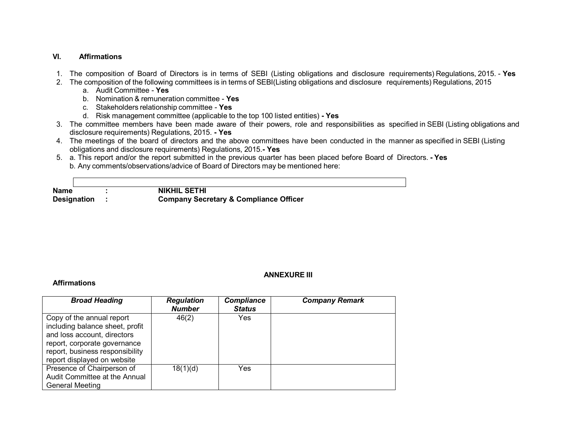#### **VI. Affirmations**

- 1. The composition of Board of Directors is in terms of SEBI (Listing obligations and disclosure requirements) Regulations, 2015. **Yes**
- 2. The composition of the following committees is in terms of SEBI(Listing obligations and disclosure requirements) Regulations, 2015
	- a. Audit Committee **Yes**
	- b. Nomination & remuneration committee **Yes**
	- c. Stakeholders relationship committee **Yes**
	- d. Risk management committee (applicable to the top 100 listed entities) **- Yes**
- 3. The committee members have been made aware of their powers, role and responsibilities as specified in SEBI (Listing obligations and disclosure requirements) Regulations, 2015. **- Yes**
- 4. The meetings of the board of directors and the above committees have been conducted in the manner as specified in SEBI (Listing obligations and disclosure requirements) Regulations, 2015.**- Yes**
- 5. a. This report and/or the report submitted in the previous quarter has been placed before Board of Directors. **- Yes** b. Any comments/observations/advice of Board of Directors may be mentioned here:

| <b>Name</b>        | <b>NIKHIL SETHI</b>                               |
|--------------------|---------------------------------------------------|
|                    |                                                   |
| <b>Designation</b> | <b>Company Secretary &amp; Compliance Officer</b> |
|                    |                                                   |

#### **ANNEXURE III**

#### **Affirmations**

| <b>Broad Heading</b>                                                                                                                                                                          | <b>Regulation</b><br><b>Number</b> | <b>Compliance</b><br><b>Status</b> | <b>Company Remark</b> |
|-----------------------------------------------------------------------------------------------------------------------------------------------------------------------------------------------|------------------------------------|------------------------------------|-----------------------|
| Copy of the annual report<br>including balance sheet, profit<br>and loss account, directors<br>report, corporate governance<br>report, business responsibility<br>report displayed on website | 46(2)                              | Yes                                |                       |
| Presence of Chairperson of<br>Audit Committee at the Annual<br><b>General Meeting</b>                                                                                                         | 18(1)(d)                           | Yes                                |                       |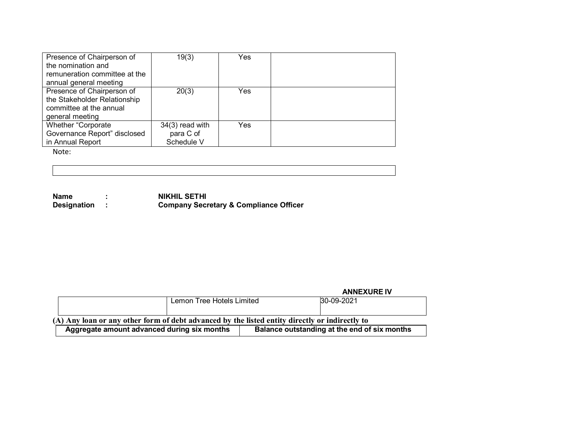| Presence of Chairperson of    | 19(3)             | Yes |  |
|-------------------------------|-------------------|-----|--|
| the nomination and            |                   |     |  |
| remuneration committee at the |                   |     |  |
| annual general meeting        |                   |     |  |
| Presence of Chairperson of    | 20(3)             | Yes |  |
| the Stakeholder Relationship  |                   |     |  |
| committee at the annual       |                   |     |  |
| general meeting               |                   |     |  |
| Whether "Corporate"           | $34(3)$ read with | Yes |  |
| Governance Report" disclosed  | para C of         |     |  |
| in Annual Report              | Schedule V        |     |  |

Note:

**Name** : **NIKHIL SETHI**<br> **Designation** : **Company Secr Designation : Company Secretary & Compliance Officer**

|                                                                                                |                           | <b>ANNEXURE IV</b>                           |
|------------------------------------------------------------------------------------------------|---------------------------|----------------------------------------------|
|                                                                                                | Lemon Tree Hotels Limited | 30-09-2021                                   |
|                                                                                                |                           |                                              |
| (A) Any loan or any other form of debt advanced by the listed entity directly or indirectly to |                           |                                              |
| Aggregate amount advanced during six months                                                    |                           | Balance outstanding at the end of six months |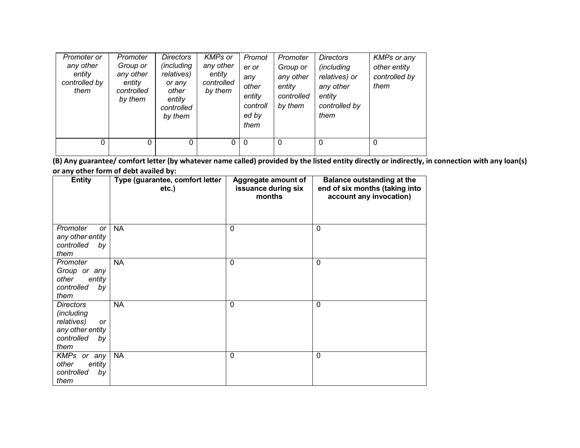| Promoter or<br>any other<br>entity<br>controlled by<br>them | Promoter<br>Group or<br>any other<br>entity<br>controlled<br>by them | <b>Directors</b><br>(including<br>relatives)<br>or any<br>other<br>entity<br>controlled<br>by them | <b>KMPs</b> or<br>any other<br>entity<br>controlled<br>by them | Promot<br>er or<br>any<br>other<br>entity<br>controll<br>ed by<br>them | Promoter<br>Group or<br>any other<br>entity<br>controlled<br>by them | Directors<br>(including<br>relatives) or<br>any other<br>entity<br>controlled by<br>them | <b>KMPs or any</b><br>other entity<br>controlled by<br>them |
|-------------------------------------------------------------|----------------------------------------------------------------------|----------------------------------------------------------------------------------------------------|----------------------------------------------------------------|------------------------------------------------------------------------|----------------------------------------------------------------------|------------------------------------------------------------------------------------------|-------------------------------------------------------------|
| 0                                                           | 0                                                                    | 0                                                                                                  | $\mathbf{0}$                                                   | -0                                                                     | $\mathbf 0$                                                          | 0                                                                                        | 0                                                           |

**(B) Any guarantee/ comfort letter (by whatever name called) provided by the listed entity directly or indirectly, in connection with any loan(s) or any other form of debt availed by:**

| <b>Entity</b>                                                                                                    | Type (guarantee, comfort letter<br>$etc.$ ) | Aggregate amount of<br>issuance during six<br>months | <b>Balance outstanding at the</b><br>end of six months (taking into<br>account any invocation) |
|------------------------------------------------------------------------------------------------------------------|---------------------------------------------|------------------------------------------------------|------------------------------------------------------------------------------------------------|
| Promoter<br><b>or</b><br>any other entity<br>controlled<br>by<br>them                                            | <b>NA</b>                                   | $\mathbf 0$                                          | $\Omega$                                                                                       |
| Promoter<br>Group or any<br>other<br>entity<br>controlled<br>by<br>them                                          | <b>NA</b>                                   | $\mathbf 0$                                          | $\Omega$                                                                                       |
| <b>Directors</b><br><i>(including</i><br>relatives)<br><b>or</b><br>any other entity<br>controlled<br>by<br>them | <b>NA</b>                                   | $\mathbf 0$                                          | $\Omega$                                                                                       |
| KMPs or any<br>other<br>entity<br>controlled<br>by<br>them                                                       | <b>NA</b>                                   | $\mathbf 0$                                          | $\Omega$                                                                                       |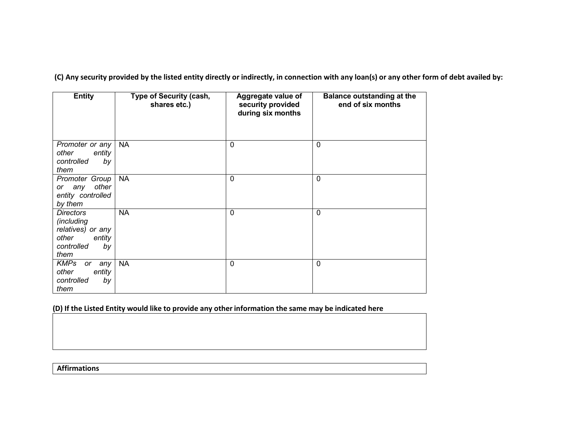**(C) Any security provided by the listed entity directly or indirectly, in connection with any loan(s) or any other form of debt availed by:**

| <b>Entity</b>                                                                                      | Type of Security (cash,<br>shares etc.) | Aggregate value of<br>security provided<br>during six months | <b>Balance outstanding at the</b><br>end of six months |
|----------------------------------------------------------------------------------------------------|-----------------------------------------|--------------------------------------------------------------|--------------------------------------------------------|
| Promoter or any<br>other<br>entity<br>controlled<br>by<br>them                                     | <b>NA</b>                               | $\mathbf 0$                                                  | 0                                                      |
| Promoter Group<br>other<br>or any<br>entity controlled<br>by them                                  | <b>NA</b>                               | $\mathbf 0$                                                  | 0                                                      |
| <b>Directors</b><br>(including<br>relatives) or any<br>other<br>entity<br>controlled<br>by<br>them | <b>NA</b>                               | $\mathbf 0$                                                  | 0                                                      |
| <b>KMPs</b><br>any<br>or<br>other<br>entity<br>controlled<br>by<br>them                            | <b>NA</b>                               | $\mathbf 0$                                                  | $\mathbf 0$                                            |

## **(D) If the Listed Entity would like to provide any other information the same may be indicated here**

#### **Affirmations**